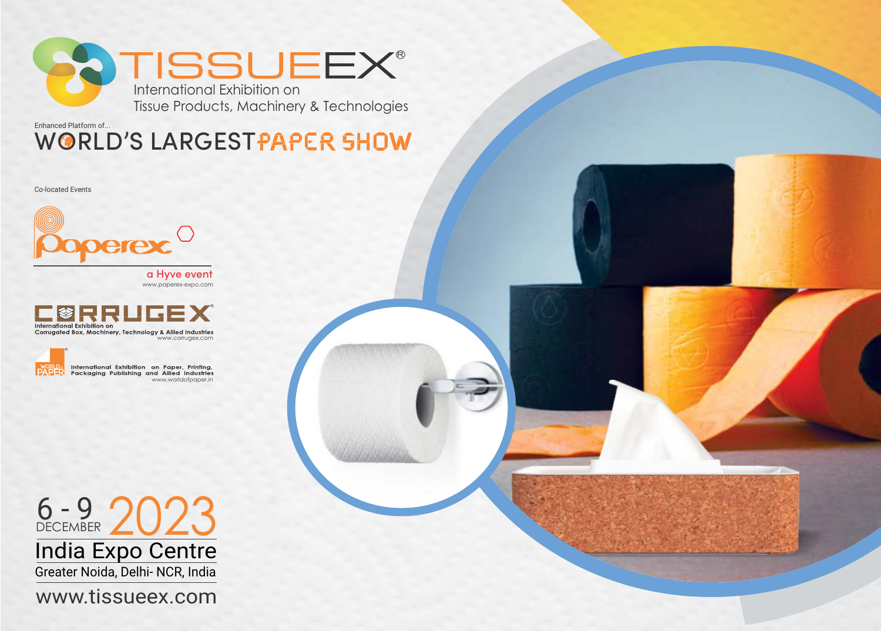

WORLD'S LARGESTPAPER SHOW Enhanced Platform of...

Co-located Events



www.paperex-expo.com a Hyve event





International Exhibition on Paper, Printing,<br>Packaging Publishing and Allied Industries www.worldofpaper.in

6 - 9 2023 Greater Noida, Delhi- NCR, India India Expo Centre

www.tissueex.com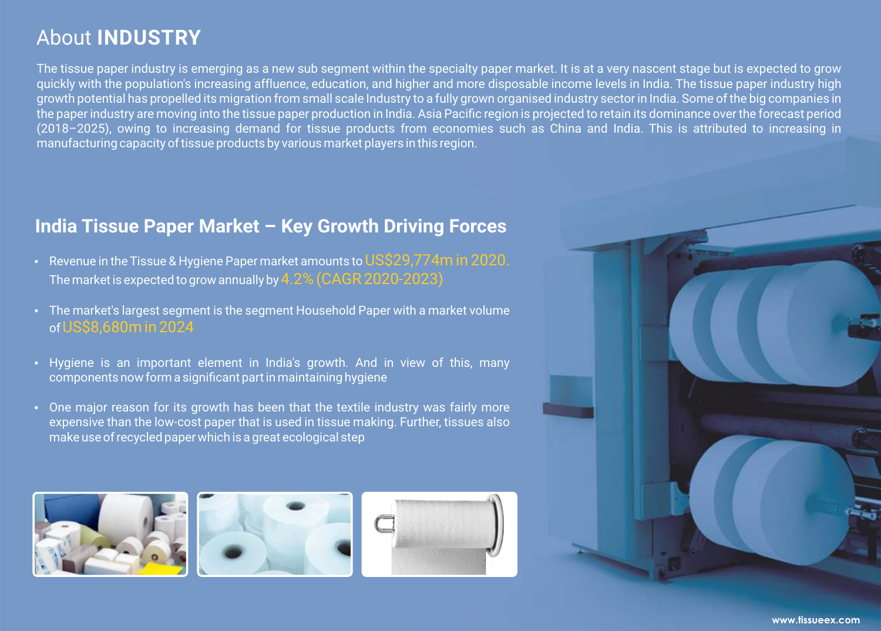## About **INDUSTRY**

The tissue paper industry is emerging as a new sub segment within the specialty paper market. It is at a very nascent stage but is expected to grow quickly with the population's increasing affluence, education, and higher and more disposable income levels in India. The tissue paper industry high growth potential has propelled its migration from small scale Industry to a fully grown organised industry sector in India. Some of the big companies in the paper industry are moving into the tissue paper production in India. Asia Pacific region is projected to retain its dominance over the forecast period (2018–2025), owing to increasing demand for tissue products from economies such as China and India. This is attributed to increasing in manufacturing capacity of tissue products by various market players in this region.

## **India Tissue Paper Market – Key Growth Driving Forces**

- Revenue in the Tissue & Hygiene Paper market amounts to US\$29,774m in 2020. The market is expected to grow annually by 4.2% (CAGR 2020-2023)
- The market's largest segment is the segment Household Paper with a market volume ofUS\$8,680m in 2024
- Hygiene is an important element in India's growth. And in view of this, many components now form a significant part in maintaining hygiene
- One major reason for its growth has been that the textile industry was fairly more expensive than the low-cost paper that is used in tissue making. Further, tissues also make use of recycled paper which is a great ecological step



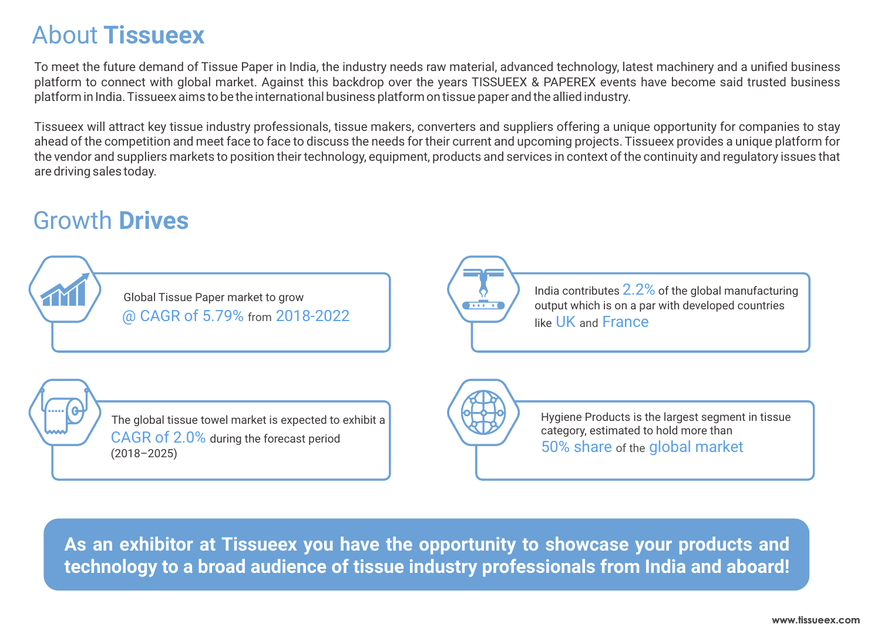## About **Tissueex**

To meet the future demand of Tissue Paper in India, the industry needs raw material, advanced technology, latest machinery and a unified business platform to connect with global market. Against this backdrop over the years TISSUEEX & PAPEREX events have become said trusted business platform in India. Tissueex aims to be the international business platform on tissue paper and the allied industry.

Tissueex will attract key tissue industry professionals, tissue makers, converters and suppliers offering a unique opportunity for companies to stay ahead of the competition and meet face to face to discuss the needs for their current and upcoming projects. Tissueex provides a unique platform for the vendor and suppliers markets to position their technology, equipment, products and services in context of the continuity and regulatory issues that are driving sales today.

# Growth **Drives**



**As an exhibitor at Tissueex you have the opportunity to showcase your products and technology to a broad audience of tissue industry professionals from India and aboard!**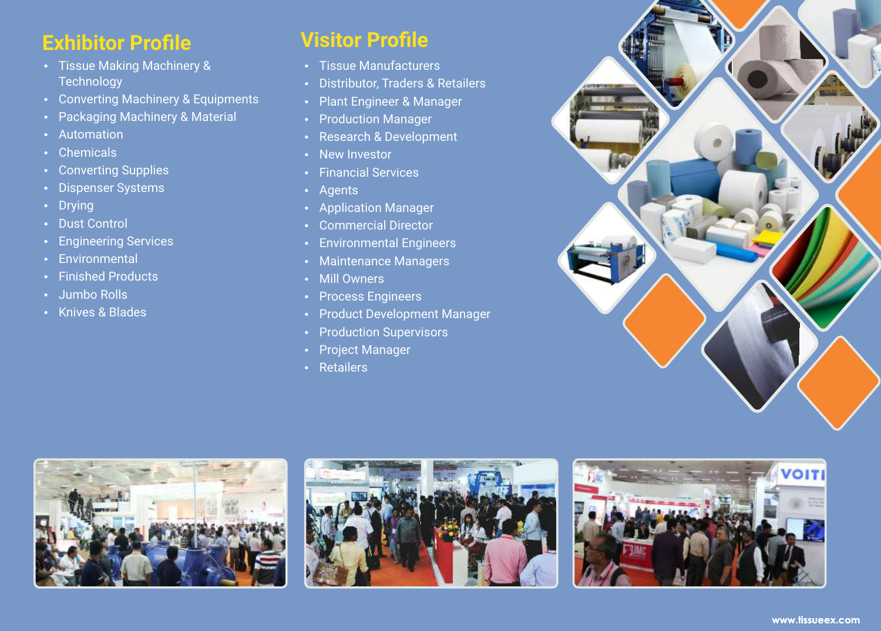## **Exhibitor Profile**

- Tissue Making Machinery & **Technology**
- Converting Machinery & Equipments
- Packaging Machinery & Material
- Automation
- Chemicals
- Converting Supplies
- Dispenser Systems
- Drying
- Dust Control
- Engineering Services
- Environmental
- Finished Products
- Jumbo Rolls
- Knives & Blades

## **Visitor Profile**

- Tissue Manufacturers
- Distributor, Traders & Retailers
- Plant Engineer & Manager
- Production Manager
- Research & Development
- New Investor
- Financial Services
- Agents
- Application Manager
- Commercial Director
- Environmental Engineers
- Maintenance Managers
- Mill Owners
- Process Engineers
- Product Development Manager
- Production Supervisors
- Project Manager
- Retailers







**Live**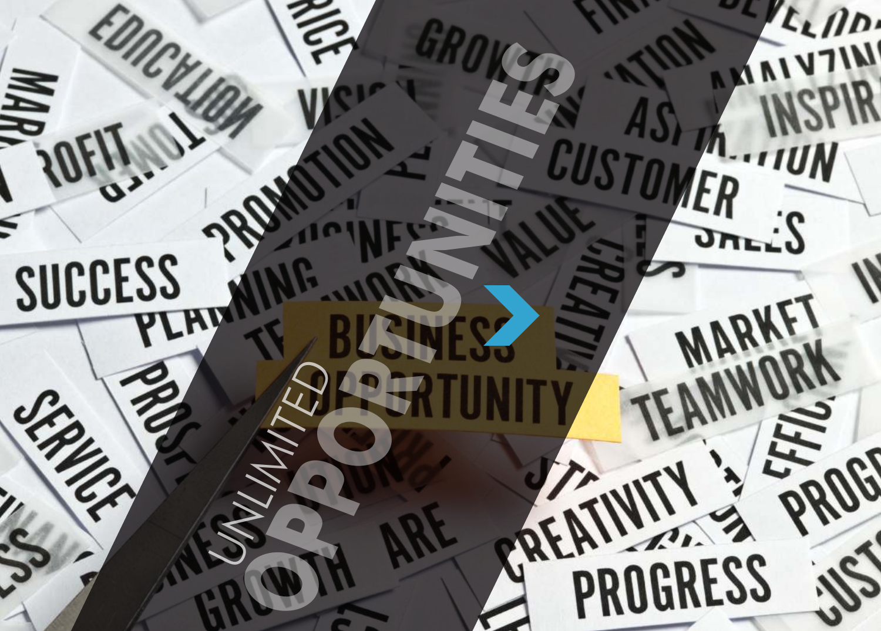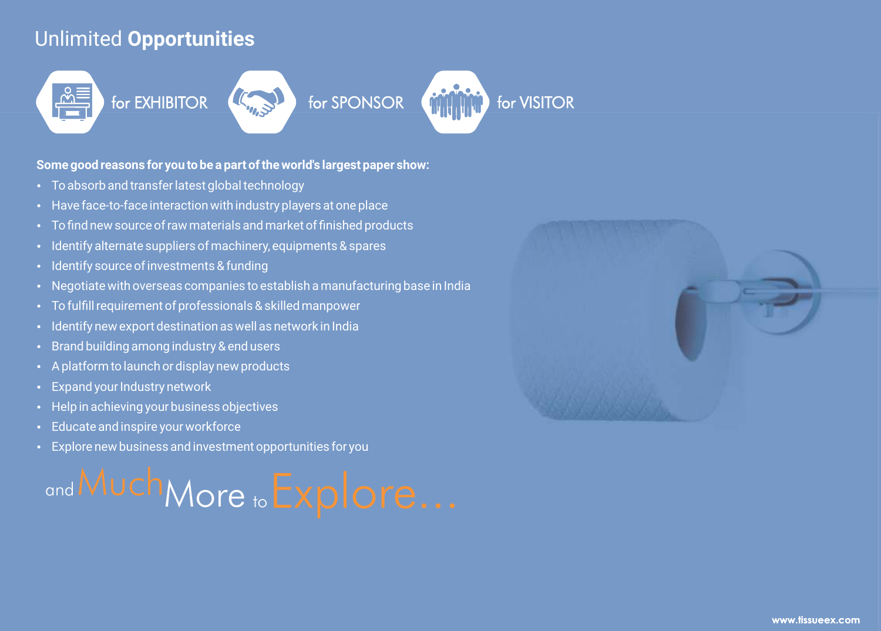## Unlimited **Opportunities**

# for EXHIBITOR  $($

#### **Some good reasons for you to be a part of the world's largest paper show:**

- To absorb and transfer latest global technology
- Have face-to-face interaction with industry players at one place
- To find new source of raw materials and market of finished products
- Identify alternate suppliers of machinery, equipments & spares
- Identify source of investments & funding
- Negotiate with overseas companies to establish a manufacturing base in India
- To fulfill requirement of professionals & skilled manpower
- $\cdot$  Identify new export destination as well as network in India
- Brand building among industry & end users
- A platform to launch or display new products
- Expand your Industry network
- Help in achieving your business objectives
- Educate and inspire your workforce
- Explore new business and investment opportunities for you